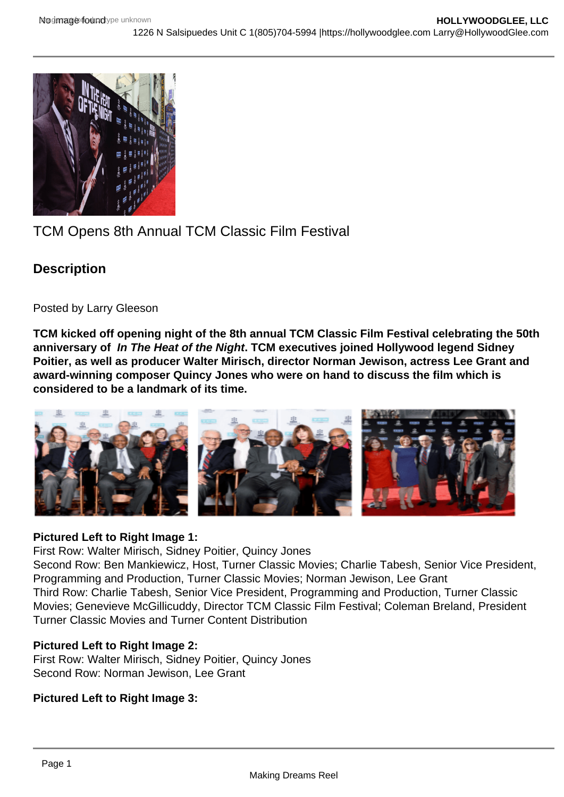

# TCM Opens 8th Annual TCM Classic Film Festival

# **Description**

Posted by Larry Gleeson

**TCM kicked off opening night of the 8th annual TCM Classic Film Festival celebrating the 50th anniversary of In The Heat of the Night. TCM executives joined Hollywood legend Sidney Poitier, as well as producer Walter Mirisch, director Norman Jewison, actress Lee Grant and award-winning composer Quincy Jones who were on hand to discuss the film which is considered to be a landmark of its time.**



## **Pictured Left to Right Image 1:**

First Row: Walter Mirisch, Sidney Poitier, Quincy Jones

Second Row: Ben Mankiewicz, Host, Turner Classic Movies; Charlie Tabesh, Senior Vice President, Programming and Production, Turner Classic Movies; Norman Jewison, Lee Grant Third Row: Charlie Tabesh, Senior Vice President, Programming and Production, Turner Classic Movies; Genevieve McGillicuddy, Director TCM Classic Film Festival; Coleman Breland, President Turner Classic Movies and Turner Content Distribution

# **Pictured Left to Right Image 2:**

First Row: Walter Mirisch, Sidney Poitier, Quincy Jones Second Row: Norman Jewison, Lee Grant

## **Pictured Left to Right Image 3:**